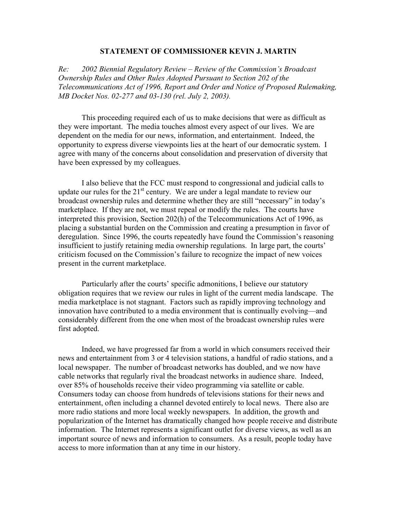## **STATEMENT OF COMMISSIONER KEVIN J. MARTIN**

*Re: 2002 Biennial Regulatory Review – Review of the Commission's Broadcast Ownership Rules and Other Rules Adopted Pursuant to Section 202 of the Telecommunications Act of 1996, Report and Order and Notice of Proposed Rulemaking, MB Docket Nos. 02-277 and 03-130 (rel. July 2, 2003).* 

This proceeding required each of us to make decisions that were as difficult as they were important. The media touches almost every aspect of our lives. We are dependent on the media for our news, information, and entertainment. Indeed, the opportunity to express diverse viewpoints lies at the heart of our democratic system. I agree with many of the concerns about consolidation and preservation of diversity that have been expressed by my colleagues.

I also believe that the FCC must respond to congressional and judicial calls to update our rules for the  $21<sup>st</sup>$  century. We are under a legal mandate to review our broadcast ownership rules and determine whether they are still "necessary" in today's marketplace. If they are not, we must repeal or modify the rules. The courts have interpreted this provision, Section 202(h) of the Telecommunications Act of 1996, as placing a substantial burden on the Commission and creating a presumption in favor of deregulation. Since 1996, the courts repeatedly have found the Commission's reasoning insufficient to justify retaining media ownership regulations. In large part, the courts' criticism focused on the Commission's failure to recognize the impact of new voices present in the current marketplace.

Particularly after the courts' specific admonitions, I believe our statutory obligation requires that we review our rules in light of the current media landscape. The media marketplace is not stagnant. Factors such as rapidly improving technology and innovation have contributed to a media environment that is continually evolving—and considerably different from the one when most of the broadcast ownership rules were first adopted.

Indeed, we have progressed far from a world in which consumers received their news and entertainment from 3 or 4 television stations, a handful of radio stations, and a local newspaper. The number of broadcast networks has doubled, and we now have cable networks that regularly rival the broadcast networks in audience share. Indeed, over 85% of households receive their video programming via satellite or cable. Consumers today can choose from hundreds of televisions stations for their news and entertainment, often including a channel devoted entirely to local news. There also are more radio stations and more local weekly newspapers. In addition, the growth and popularization of the Internet has dramatically changed how people receive and distribute information. The Internet represents a significant outlet for diverse views, as well as an important source of news and information to consumers. As a result, people today have access to more information than at any time in our history.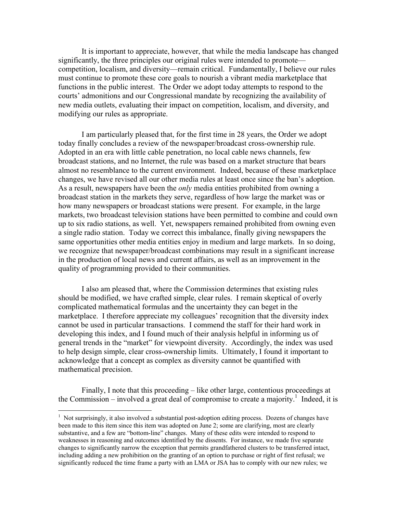It is important to appreciate, however, that while the media landscape has changed significantly, the three principles our original rules were intended to promote competition, localism, and diversity—remain critical. Fundamentally, I believe our rules must continue to promote these core goals to nourish a vibrant media marketplace that functions in the public interest. The Order we adopt today attempts to respond to the courts' admonitions and our Congressional mandate by recognizing the availability of new media outlets, evaluating their impact on competition, localism, and diversity, and modifying our rules as appropriate.

I am particularly pleased that, for the first time in 28 years, the Order we adopt today finally concludes a review of the newspaper/broadcast cross-ownership rule. Adopted in an era with little cable penetration, no local cable news channels, few broadcast stations, and no Internet, the rule was based on a market structure that bears almost no resemblance to the current environment. Indeed, because of these marketplace changes, we have revised all our other media rules at least once since the ban's adoption. As a result, newspapers have been the *only* media entities prohibited from owning a broadcast station in the markets they serve, regardless of how large the market was or how many newspapers or broadcast stations were present. For example, in the large markets, two broadcast television stations have been permitted to combine and could own up to six radio stations, as well. Yet, newspapers remained prohibited from owning even a single radio station. Today we correct this imbalance, finally giving newspapers the same opportunities other media entities enjoy in medium and large markets. In so doing, we recognize that newspaper/broadcast combinations may result in a significant increase in the production of local news and current affairs, as well as an improvement in the quality of programming provided to their communities.

I also am pleased that, where the Commission determines that existing rules should be modified, we have crafted simple, clear rules. I remain skeptical of overly complicated mathematical formulas and the uncertainty they can beget in the marketplace. I therefore appreciate my colleagues' recognition that the diversity index cannot be used in particular transactions. I commend the staff for their hard work in developing this index, and I found much of their analysis helpful in informing us of general trends in the "market" for viewpoint diversity. Accordingly, the index was used to help design simple, clear cross-ownership limits. Ultimately, I found it important to acknowledge that a concept as complex as diversity cannot be quantified with mathematical precision.

Finally, I note that this proceeding – like other large, contentious proceedings at the Commission – involved a great deal of compromise to create a majority.<sup>1</sup> Indeed, it is

<u>.</u>

 $1$  Not surprisingly, it also involved a substantial post-adoption editing process. Dozens of changes have been made to this item since this item was adopted on June 2; some are clarifying, most are clearly substantive, and a few are "bottom-line" changes. Many of these edits were intended to respond to weaknesses in reasoning and outcomes identified by the dissents. For instance, we made five separate changes to significantly narrow the exception that permits grandfathered clusters to be transferred intact, including adding a new prohibition on the granting of an option to purchase or right of first refusal; we significantly reduced the time frame a party with an LMA or JSA has to comply with our new rules; we